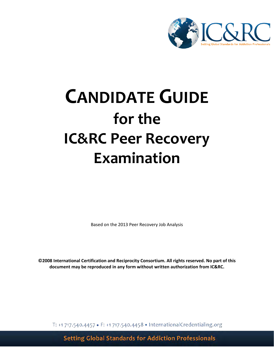

# **CANDIDATE GUIDE for the IC&RC Peer Recovery Examination**

Based on the 2013 Peer Recovery Job Analysis

**©2008 International Certification and Reciprocity Consortium. All rights reserved. No part of this document may be reproduced in any form without written authorization from IC&RC.**

T: +1 717.540.4457 • F: +1 717.540.4458 • InternationalCredentialing.org

**Setting Global Standards for Addiction Professionals**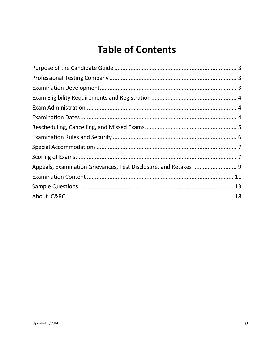## **Table of Contents**

| Appeals, Examination Grievances, Test Disclosure, and Retakes  9 |  |
|------------------------------------------------------------------|--|
|                                                                  |  |
|                                                                  |  |
|                                                                  |  |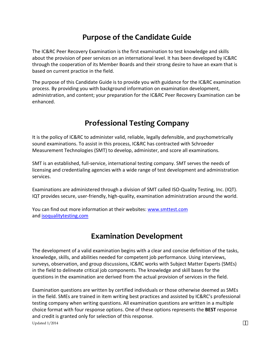### **Purpose of the Candidate Guide**

The IC&RC Peer Recovery Examination is the first examination to test knowledge and skills about the provision of peer services on an international level. It has been developed by IC&RC through the cooperation of its Member Boards and their strong desire to have an exam that is based on current practice in the field.

The purpose of this Candidate Guide is to provide you with guidance for the IC&RC examination process. By providing you with background information on examination development, administration, and content; your preparation for the IC&RC Peer Recovery Examination can be enhanced.

### **Professional Testing Company**

It is the policy of IC&RC to administer valid, reliable, legally defensible, and psychometrically sound examinations. To assist in this process, IC&RC has contracted with Schroeder Measurement Technologies (SMT) to develop, administer, and score all examinations.

SMT is an established, full-service, international testing company. SMT serves the needs of licensing and credentialing agencies with a wide range of test development and administration services.

Examinations are administered through a division of SMT called ISO-Quality Testing, Inc. (IQT). IQT provides secure, user-friendly, high-quality, examination administration around the world.

You can find out more information at their websites: www.smttest.com and isoqualitytesting.com

### **Examination Development**

The development of a valid examination begins with a clear and concise definition of the tasks, knowledge, skills, and abilities needed for competent job performance. Using interviews, surveys, observation, and group discussions, IC&RC works with Subject Matter Experts (SMEs) in the field to delineate critical job components. The knowledge and skill bases for the questions in the examination are derived from the actual provision of services in the field.

Updated  $1/2014$   $\&$ Examination questions are written by certified individuals or those otherwise deemed as SMEs in the field. SMEs are trained in item writing best practices and assisted by IC&RC's professional testing company when writing questions. All examination questions are written in a multiple choice format with four response options. One of these options represents the **BEST** response and credit is granted only for selection of this response.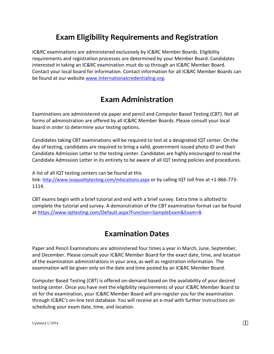### **Exam Eligibility Requirements and Registration**

IC&RC examinations are administered exclusively by IC&RC Member Boards. Eligibility requirements and registration processes are determined by your Member Board. Candidates interested in taking an IC&RC examination must do so through an IC&RC Member Board. Contact your local board for information. Contact information for all IC&RC Member Boards can be found at our website www.internationalcredentialing.org.

### **Exam Administration**

Examinations are administered via paper and pencil and Computer Based Testing (CBT). Not all forms of administration are offered by all IC&RC Member Boards. Please consult your local board in order to determine your testing options.

Candidates taking CBT examinations will be required to test at a designated IQT center. On the day of testing, candidates are required to bring a valid, government issued photo ID and their Candidate Admission Letter to the testing center. Candidates are highly encouraged to read the Candidate Admission Letter in its entirety to be aware of all IQT testing policies and procedures.

A list of all IQT testing centers can be found at this link: http://www.isoqualitytesting.com/mlocations.aspx or by calling IQT toll free at +1-866-773- 1114.

CBT exams begin with a brief tutorial and end with a brief survey. Extra time is allotted to complete the tutorial and survey. A demonstration of the CBT examination format can be found at https://www.iqttesting.com/Default.aspx?Function=SampleExam&Exam=8.

### **Examination Dates**

Paper and Pencil Examinations are administered four times a year in March, June, September, and December. Please consult your IC&RC Member Board for the exact date, time, and location of the examination administrations in your area, as well as registration information. The examination will be given only on the date and time posted by an IC&RC Member Board.

Computer Based Testing (CBT) is offered on-demand based on the availability of your desired testing center. Once you have met the eligibility requirements of your IC&RC Member Board to sit for the examination, your IC&RC Member Board will pre-register you for the examination through IC&RC's on-line test database. You will receive an e-mail with further instructions on scheduling your exam date, time, and location.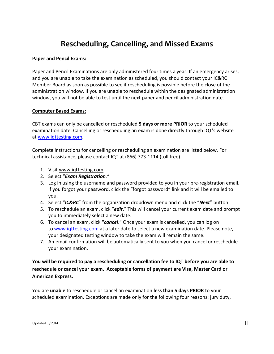### **Rescheduling, Cancelling, and Missed Exams**

#### **Paper and Pencil Exams:**

Paper and Pencil Examinations are only administered four times a year. If an emergency arises, and you are unable to take the examination as scheduled, you should contact your IC&RC Member Board as soon as possible to see if rescheduling is possible before the close of the administration window. If you are unable to reschedule within the designated administration window, you will not be able to test until the next paper and pencil administration date.

#### **Computer Based Exams:**

CBT exams can only be cancelled or rescheduled **5 days or more PRIOR** to your scheduled examination date. Cancelling or rescheduling an exam is done directly through IQT's website at www.iqttesting.com.

Complete instructions for cancelling or rescheduling an examination are listed below. For technical assistance, please contact IQT at (866) 773-1114 (toll free).

- 1. Visit www.iqttesting.com.
- 2. Select "*Exam Registration."*
- 3. Log in using the username and password provided to you in your pre-registration email. If you forgot your password, click the "forgot password" link and it will be emailed to you.
- 4. Select "*IC&RC*" from the organization dropdown menu and click the "*Next*" button.
- 5. To reschedule an exam, click "*edit*." This will cancel your current exam date and prompt you to immediately select a new date.
- 6. To cancel an exam, click **"***cancel*." Once your exam is cancelled, you can log on to www.iqttesting.com at a later date to select a new examination date. Please note, your designated testing window to take the exam will remain the same.
- 7. An email confirmation will be automatically sent to you when you cancel or reschedule your examination.

#### **You will be required to pay a rescheduling or cancellation fee to IQT before you are able to reschedule or cancel your exam. Acceptable forms of payment are Visa, Master Card or American Express.**

You are **unable** to reschedule or cancel an examination **less than 5 days PRIOR** to your scheduled examination. Exceptions are made only for the following four reasons: jury duty,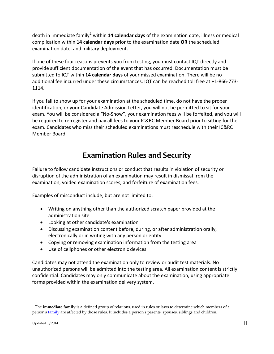death in immediate family<sup>1</sup> within 14 calendar days of the examination date, illness or medical complication within **14 calendar days** prior to the examination date **OR** the scheduled examination date, and military deployment.

If one of these four reasons prevents you from testing, you must contact IQT directly and provide sufficient documentation of the event that has occurred. Documentation must be submitted to IQT within **14 calendar days** of your missed examination. There will be no additional fee incurred under these circumstances. IQT can be reached toll free at +1-866-773- 1114.

If you fail to show up for your examination at the scheduled time, do not have the proper identification, or your Candidate Admission Letter, you will not be permitted to sit for your exam. You will be considered a "No-Show", your examination fees will be forfeited, and you will be required to re-register and pay all fees to your IC&RC Member Board prior to sitting for the exam. Candidates who miss their scheduled examinations must reschedule with their IC&RC Member Board.

### **Examination Rules and Security**

Failure to follow candidate instructions or conduct that results in violation of security or disruption of the administration of an examination may result in dismissal from the examination, voided examination scores, and forfeiture of examination fees.

Examples of misconduct include, but are not limited to:

- Writing on anything other than the authorized scratch paper provided at the administration site
- Looking at other candidate's examination
- Discussing examination content before, during, or after administration orally, electronically or in writing with any person or entity
- Copying or removing examination information from the testing area
- Use of cellphones or other electronic devices

Candidates may not attend the examination only to review or audit test materials. No unauthorized persons will be admitted into the testing area. All examination content is strictly confidential. Candidates may only communicate about the examination, using appropriate forms provided within the examination delivery system.

<sup>1</sup> The **immediate family** is a defined group of relations, used in rules or laws to determine which members of a person's family are affected by those rules. It includes a person's parents, spouses, siblings and children.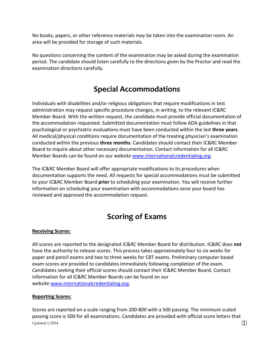No books, papers, or other reference materials may be taken into the examination room. An area will be provided for storage of such materials.

No questions concerning the content of the examination may be asked during the examination period. The candidate should listen carefully to the directions given by the Proctor and read the examination directions carefully.

### **Special Accommodations**

Individuals with disabilities and/or religious obligations that require modifications in test administration may request specific procedure changes, in writing, to the relevant IC&RC Member Board. With the written request, the candidate must provide official documentation of the accommodation requested. Submitted documentation must follow ADA guidelines in that psychological or psychiatric evaluations must have been conducted within the last **three years**. All medical/physical conditions require documentation of the treating physician's examination conducted within the previous **three months**. Candidates should contact their IC&RC Member Board to inquire about other necessary documentation. Contact information for all IC&RC Member Boards can be found on our website www.internationalcredentialing.org.

The IC&RC Member Board will offer appropriate modifications to its procedures when documentation supports the need. All requests for special accommodations must be submitted to your IC&RC Member Board **prior** to scheduling your examination. You will receive further information on scheduling your examination with accommodations once your board has reviewed and approved the accommodation request.

### **Scoring of Exams**

#### **Receiving Scores:**

All scores are reported to the designated IC&RC Member Board for distribution. IC&RC does **not** have the authority to release scores. This process takes approximately four to six weeks for paper and pencil exams and two to three weeks for CBT exams. Preliminary computer based exam scores are provided to candidates immediately following completion of the exam. Candidates seeking their official scores should contact their IC&RC Member Board. Contact information for all IC&RC Member Boards can be found on our website www.internationalcredentialing.org.

#### **Reporting Scores:**

Updated 1/2014 Scores are reported on a scale ranging from 200-800 with a 500 passing. The minimum scaled passing score is 500 for all examinations. Candidates are provided with official score letters that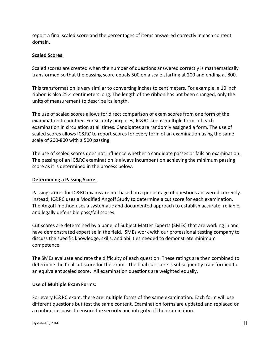report a final scaled score and the percentages of items answered correctly in each content domain.

#### **Scaled Scores:**

Scaled scores are created when the number of questions answered correctly is mathematically transformed so that the passing score equals 500 on a scale starting at 200 and ending at 800.

This transformation is very similar to converting inches to centimeters. For example, a 10 inch ribbon is also 25.4 centimeters long. The length of the ribbon has not been changed, only the units of measurement to describe its length.

The use of scaled scores allows for direct comparison of exam scores from one form of the examination to another. For security purposes, IC&RC keeps multiple forms of each examination in circulation at all times. Candidates are randomly assigned a form. The use of scaled scores allows IC&RC to report scores for every form of an examination using the same scale of 200-800 with a 500 passing.

The use of scaled scores does not influence whether a candidate passes or fails an examination. The passing of an IC&RC examination is always incumbent on achieving the minimum passing score as it is determined in the process below.

#### **Determining a Passing Score:**

Passing scores for IC&RC exams are not based on a percentage of questions answered correctly. Instead, IC&RC uses a Modified Angoff Study to determine a cut score for each examination. The Angoff method uses a systematic and documented approach to establish accurate, reliable, and legally defensible pass/fail scores.

Cut scores are determined by a panel of Subject Matter Experts (SMEs) that are working in and have demonstrated expertise in the field. SMEs work with our professional testing company to discuss the specific knowledge, skills, and abilities needed to demonstrate minimum competence.

The SMEs evaluate and rate the difficulty of each question. These ratings are then combined to determine the final cut score for the exam. The final cut score is subsequently transformed to an equivalent scaled score. All examination questions are weighted equally.

#### **Use of Multiple Exam Forms:**

For every IC&RC exam, there are multiple forms of the same examination. Each form will use different questions but test the same content. Examination forms are updated and replaced on a continuous basis to ensure the security and integrity of the examination.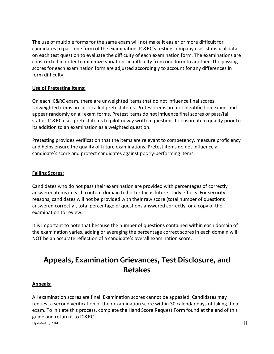The use of multiple forms for the same exam will not make it easier or more difficult for candidates to pass one form of the examination. IC&RC's testing company uses statistical data on each test question to evaluate the difficulty of each examination form. The examinations are constructed in order to minimize variations in difficulty from one form to another. The passing scores for each examination form are adjusted accordingly to account for any differences in form difficulty.

#### **Use of Pretesting Items:**

On each IC&RC exam, there are unweighted items that do not influence final scores. Unweighted items are also called pretest items. Pretest items are not identified on exams and appear randomly on all exam forms. Pretest items do not influence final scores or pass/fail status. IC&RC uses pretest items to pilot newly written questions to ensure item quality prior to its addition to an examination as a weighted question.

Pretesting provides verification that the items are relevant to competency, measure proficiency and helps ensure the quality of future examinations. Pretest items do not influence a candidate's score and protect candidates against poorly-performing items.

#### **Failing Scores:**

Candidates who do not pass their examination are provided with percentages of correctly answered items in each content domain to better focus future study efforts. For security reasons, candidates will not be provided with their raw score (total number of questions answered correctly), total percentage of questions answered correctly, or a copy of the examination to review.

It is important to note that because the number of questions contained within each domain of the examination varies, adding or averaging the percentage correct scores in each domain will NOT be an accurate reflection of a candidate's overall examination score.

### **Appeals, Examination Grievances, Test Disclosure, and Retakes**

#### **Appeals:**

Updated  $1/2014$   $\&$ All examination scores are final. Examination scores cannot be appealed. Candidates may request a second verification of their examination score within 30 calendar days of taking their exam. To initiate this process, complete the Hand Score Request Form found at the end of this guide and return it to IC&RC.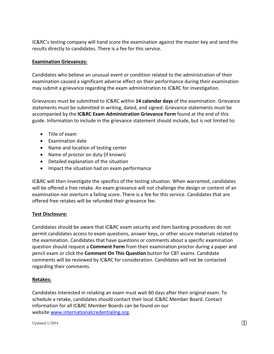IC&RC's testing company will hand score the examination against the master key and send the results directly to candidates. There is a fee for this service.

#### **Examination Grievances:**

Candidates who believe an unusual event or condition related to the administration of their examination caused a significant adverse effect on their performance during their examination may submit a grievance regarding the exam administration to IC&RC for investigation.

Grievances must be submitted to IC&RC within **14 calendar days** of the examination. Grievance statements must be submitted in writing, dated, and signed. Grievance statements must be accompanied by the **IC&RC Exam Administration Grievance Form** found at the end of this guide. Information to include in the grievance statement should include, but is not limited to:

- Title of exam
- Examination date
- Name and location of testing center
- Name of proctor on duty (if known)
- Detailed explanation of the situation
- Impact the situation had on exam performance

IC&RC will then investigate the specifics of the testing situation. When warranted, candidates will be offered a free retake. An exam grievance will not challenge the design or content of an examination nor overturn a failing score. There is a fee for this service. Candidates that are offered free retakes will be refunded their grievance fee.

#### **Test Disclosure:**

Candidates should be aware that IC&RC exam security and item banking procedures do not permit candidates access to exam questions, answer keys, or other secure materials related to the examination. Candidates that have questions or comments about a specific examination question should request a **Comment Form** from their examination proctor during a paper and pencil exam or click the **Comment On This Question** button for CBT exams. Candidate comments will be reviewed by IC&RC for consideration. Candidates will not be contacted regarding their comments.

#### **Retakes:**

Candidates interested in retaking an exam must wait 60 days after their original exam. To schedule a retake, candidates should contact their local IC&RC Member Board. Contact information for all IC&RC Member Boards can be found on our website www.internationalcredentialing.org.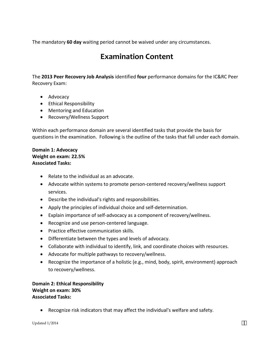The mandatory **60 day** waiting period cannot be waived under any circumstances.

### **Examination Content**

The **2013 Peer Recovery Job Analysis** identified **four** performance domains for the IC&RC Peer Recovery Exam:

- Advocacy
- Ethical Responsibility
- Mentoring and Education
- Recovery/Wellness Support

Within each performance domain are several identified tasks that provide the basis for questions in the examination. Following is the outline of the tasks that fall under each domain.

#### **Domain 1: Advocacy Weight on exam: 22.5% Associated Tasks:**

- Relate to the individual as an advocate.
- Advocate within systems to promote person-centered recovery/wellness support services.
- Describe the individual's rights and responsibilities.
- Apply the principles of individual choice and self-determination.
- Explain importance of self-advocacy as a component of recovery/wellness.
- Recognize and use person-centered language.
- Practice effective communication skills.
- Differentiate between the types and levels of advocacy.
- Collaborate with individual to identify, link, and coordinate choices with resources.
- Advocate for multiple pathways to recovery/wellness.
- Recognize the importance of a holistic (e.g., mind, body, spirit, environment) approach to recovery/wellness.

#### **Domain 2: Ethical Responsibility Weight on exam: 30% Associated Tasks:**

• Recognize risk indicators that may affect the individual's welfare and safety.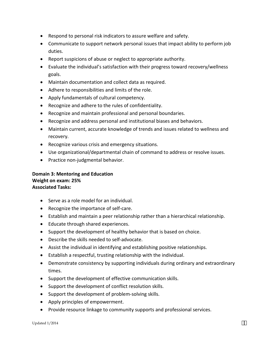- Respond to personal risk indicators to assure welfare and safety.
- Communicate to support network personal issues that impact ability to perform job duties.
- Report suspicions of abuse or neglect to appropriate authority.
- Evaluate the individual's satisfaction with their progress toward recovery/wellness goals.
- Maintain documentation and collect data as required.
- Adhere to responsibilities and limits of the role.
- Apply fundamentals of cultural competency.
- Recognize and adhere to the rules of confidentiality.
- Recognize and maintain professional and personal boundaries.
- Recognize and address personal and institutional biases and behaviors.
- Maintain current, accurate knowledge of trends and issues related to wellness and recovery.
- Recognize various crisis and emergency situations.
- Use organizational/departmental chain of command to address or resolve issues.
- Practice non-judgmental behavior.

#### **Domain 3: Mentoring and Education Weight on exam: 25% Associated Tasks:**

- Serve as a role model for an individual.
- Recognize the importance of self-care.
- Establish and maintain a peer relationship rather than a hierarchical relationship.
- Educate through shared experiences.
- Support the development of healthy behavior that is based on choice.
- Describe the skills needed to self-advocate.
- Assist the individual in identifying and establishing positive relationships.
- Establish a respectful, trusting relationship with the individual.
- Demonstrate consistency by supporting individuals during ordinary and extraordinary times.
- Support the development of effective communication skills.
- Support the development of conflict resolution skills.
- Support the development of problem-solving skills.
- Apply principles of empowerment.
- Provide resource linkage to community supports and professional services.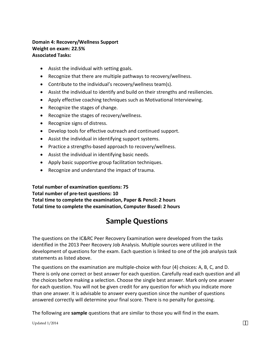#### **Domain 4: Recovery/Wellness Support Weight on exam: 22.5% Associated Tasks:**

- Assist the individual with setting goals.
- Recognize that there are multiple pathways to recovery/wellness.
- Contribute to the individual's recovery/wellness team(s).
- Assist the individual to identify and build on their strengths and resiliencies.
- Apply effective coaching techniques such as Motivational Interviewing.
- Recognize the stages of change.
- Recognize the stages of recovery/wellness.
- Recognize signs of distress.
- Develop tools for effective outreach and continued support.
- Assist the individual in identifying support systems.
- Practice a strengths-based approach to recovery/wellness.
- Assist the individual in identifying basic needs.
- Apply basic supportive group facilitation techniques.
- Recognize and understand the impact of trauma.

**Total number of examination questions: 75 Total number of pre-test questions: 10 Total time to complete the examination, Paper & Pencil: 2 hours Total time to complete the examination, Computer Based: 2 hours**

### **Sample Questions**

The questions on the IC&RC Peer Recovery Examination were developed from the tasks identified in the 2013 Peer Recovery Job Analysis. Multiple sources were utilized in the development of questions for the exam. Each question is linked to one of the job analysis task statements as listed above.

The questions on the examination are multiple-choice with four (4) choices: A, B, C, and D. There is only one correct or best answer for each question. Carefully read each question and all the choices before making a selection. Choose the single best answer. Mark only one answer for each question. You will not be given credit for any question for which you indicate more than one answer. It is advisable to answer every question since the number of questions answered correctly will determine your final score. There is no penalty for guessing.

The following are **sample** questions that are similar to those you will find in the exam.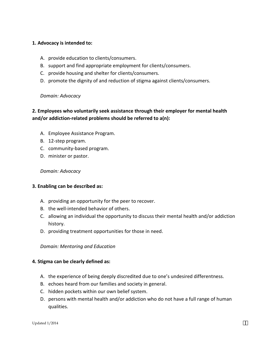#### **1. Advocacy is intended to:**

- A. provide education to clients/consumers.
- B. support and find appropriate employment for clients/consumers.
- C. provide housing and shelter for clients/consumers.
- D. promote the dignity of and reduction of stigma against clients/consumers.

#### *Domain: Advocacy*

#### **2. Employees who voluntarily seek assistance through their employer for mental health and/or addiction-related problems should be referred to a(n):**

- A. Employee Assistance Program.
- B. 12-step program.
- C. community-based program.
- D. minister or pastor.

#### *Domain: Advocacy*

#### **3. Enabling can be described as:**

- A. providing an opportunity for the peer to recover.
- B. the well-intended behavior of others.
- C. allowing an individual the opportunity to discuss their mental health and/or addiction history.
- D. providing treatment opportunities for those in need.

*Domain: Mentoring and Education*

#### **4. Stigma can be clearly defined as:**

- A. the experience of being deeply discredited due to one's undesired differentness.
- B. echoes heard from our families and society in general.
- C. hidden pockets within our own belief system.
- D. persons with mental health and/or addiction who do not have a full range of human qualities.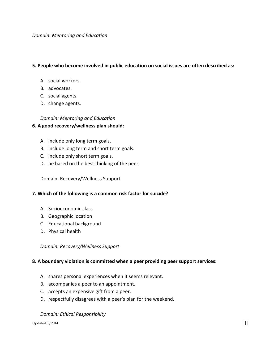#### **5. People who become involved in public education on social issues are often described as:**

- A. social workers.
- B. advocates.
- C. social agents.
- D. change agents.

#### *Domain: Mentoring and Education*

#### **6. A good recovery/wellness plan should:**

- A. include only long term goals.
- B. include long term and short term goals.
- C. include only short term goals.
- D. be based on the best thinking of the peer.

Domain: Recovery/Wellness Support

#### **7. Which of the following is a common risk factor for suicide?**

- A. Socioeconomic class
- B. Geographic location
- C. Educational background
- D. Physical health

*Domain: Recovery/Wellness Support*

#### **8. A boundary violation is committed when a peer providing peer support services:**

- A. shares personal experiences when it seems relevant.
- B. accompanies a peer to an appointment.
- C. accepts an expensive gift from a peer.
- D. respectfully disagrees with a peer's plan for the weekend.

#### *Domain: Ethical Responsibility*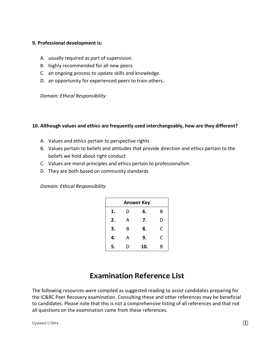#### **9. Professional development is:**

- A. usually required as part of supervision.
- B. highly recommended for all new peers.
- C. an ongoing process to update skills and knowledge.
- D. an opportunity for experienced peers to train others.

*Domain: Ethical Responsibility*

#### **10. Although values and ethics are frequently used interchangeably, how are they different?**

- A. Values and ethics pertain to perspective rights
- B. Values pertain to beliefs and attitudes that provide direction and ethics pertain to the beliefs we hold about right conduct
- C. Values are moral principles and ethics pertain to professionalism
- D. They are both based on community standards

*Domain: Ethical Responsibility*

| <b>Answer Key</b> |   |     |   |  |  |
|-------------------|---|-----|---|--|--|
| 1.                | D | 6.  | В |  |  |
| 2.                | А | 7.  | D |  |  |
| 3.                | B | 8.  | С |  |  |
| 4.                | А | 9.  | C |  |  |
| 5.                | D | 10. | R |  |  |

### **Examination Reference List**

The following resources were compiled as suggested reading to assist candidates preparing for the IC&RC Peer Recovery examination. Consulting these and other references may be beneficial to candidates. Please note that this is not a comprehensive listing of all references and that not all questions on the examination came from these references.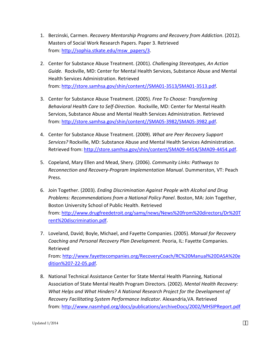- 1. Berzinski, Carmen. *Recovery Mentorship Programs and Recovery from Addiction*. (2012). Masters of Social Work Research Papers. Paper 3. Retrieved from: http://sophia.stkate.edu/msw\_papers/3.
- 2. Center for Substance Abuse Treatment. (2001). *Challenging Stereotypes, An Action Guide.* Rockville, MD: Center for Mental Health Services, Substance Abuse and Mental Health Services Administration. Retrieved from: http://store.samhsa.gov/shin/content//SMA01-3513/SMA01-3513.pdf.
- 3. Center for Substance Abuse Treatment. (2005). *Free To Choose: Transforming Behavioral Health Care to Self-Direction.* Rockville, MD: Center for Mental Health Services, Substance Abuse and Mental Health Services Administration. Retrieved from: http://store.samhsa.gov/shin/content//SMA05-3982/SMA05-3982.pdf.
- 4. Center for Substance Abuse Treatment. (2009). *What are Peer Recovery Support Services?* Rockville, MD: Substance Abuse and Mental Health Services Administration. Retrieved from: http://store.samhsa.gov/shin/content/SMA09-4454/SMA09-4454.pdf.
- 5. Copeland, Mary Ellen and Mead, Shery. (2006). *Community Links: Pathways to Reconnection and Recovery-Program Implementation Manual*. Dummerston, VT: Peach Press.
- 6. Join Together. (2003). *Ending Discrimination Against People with Alcohol and Drug Problems: Recommendations from a National Policy Panel*. Boston, MA: Join Together, Boston University School of Public Health. Retrieved from: http://www.drugfreedetroit.org/samy/news/News%20from%20directors/Dr%20T rent%20discrimination.pdf.
- 7. Loveland, David; Boyle, Michael, and Fayette Companies. (2005). *Manual for Recovery Coaching and Personal Recovery Plan Development.* Peoria, IL: Fayette Companies. Retrieved From: http://www.fayettecompanies.org/RecoveryCoach/RC%20Manual%20DASA%20e dition%207-22-05.pdf.
- 8. National Technical Assistance Center for State Mental Health Planning, National Association of State Mental Health Program Directors*.* (2002). *Mental Health Recovery: What Helps and What Hinders? A National Research Project for the Development of Recovery Facilitating System Performance Indicator.* Alexandria,VA. Retrieved from: http://www.nasmhpd.org/docs/publications/archiveDocs/2002/MHSIPReport.pdf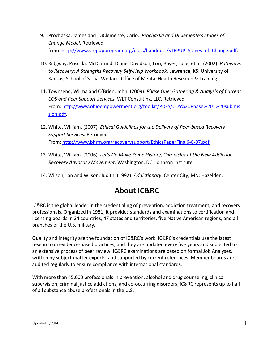- 9. Prochaska, James and DiClemente, Carlo. *Prochaska and DiClemente's Stages of Change Model*. Retrieved from: http://www.stepupprogram.org/docs/handouts/STEPUP\_Stages\_of\_Change.pdf.
- 10. Ridgway, Priscilla, McDiarmid, Diane, Davidson, Lori, Bayes, Julie, et al. (2002). *Pathways to Recovery: A Strengths Recovery Self-Help Workbook*. Lawrence, KS: University of Kansas, School of Social Welfare, Office of Mental Health Research & Training.
- 11. Townsend, Wilma and O'Brien, John. (2009). *Phase One: Gathering & Analysis of Current COS and Peer Support Services.* WLT Consulting, LLC. Retrieved From: http://www.ohioempowerment.org/toolkit/PDFS/COS%20Phase%201%20submis sion.pdf.
- 12. White, William. (2007). *Ethical Guidelines for the Delivery of Peer-based Recovery Support Services.* Retrieved From: http://www.bhrm.org/recoverysupport/EthicsPaperFinal6-8-07.pdf.
- 13. White, William. (2006). *Let's Go Make Some History, Chronicles of the New Addiction Recovery Advocacy Movement*. Washington, DC: Johnson Institute.
- 14. Wilson, Jan and Wilson, Judith. (1992). *Addictionary.* Center City, MN: Hazelden.

### **About IC&RC**

IC&RC is the global leader in the credentialing of prevention, addiction treatment, and recovery professionals. Organized in 1981, it provides standards and examinations to certification and licensing boards in 24 countries, 47 states and territories, five Native American regions, and all branches of the U.S. military.

Quality and integrity are the foundation of IC&RC's work. IC&RC's credentials use the latest research on evidence-based practices, and they are updated every five years and subjected to an extensive process of peer review. IC&RC examinations are based on formal Job Analyses, written by subject matter experts, and supported by current references. Member boards are audited regularly to ensure compliance with international standards.

With more than 45,000 professionals in prevention, alcohol and drug counseling, clinical supervision, criminal justice addictions, and co-occurring disorders, IC&RC represents up to half of all substance abuse professionals in the U.S.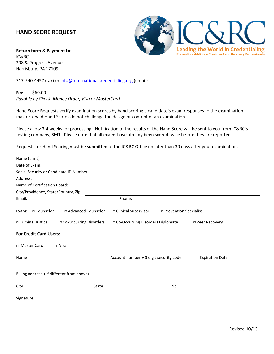#### **HAND SCORE REQUEST**

**Return form & Payment to:**  IC&RC 298 S. Progress Avenue Harrisburg, PA 17109

717-540-4457 (fax) or info@internationalcredentialing.org (email)

**Fee:** \$60.00 *Payable by Check, Money Order, Visa or MasterCard*

Hand Score Requests verify examination scores by hand scoring a candidate's exam responses to the examination master key. A Hand Scores do not challenge the design or content of an examination.

Please allow 3-4 weeks for processing. Notification of the results of the Hand Score will be sent to you from IC&RC's testing company, SMT. Please note that all exams have already been scored twice before they are reported.

Requests for Hand Scoring must be submitted to the IC&RC Office no later than 30 days after your examination.

| Name (print):                                     |                                                                  |
|---------------------------------------------------|------------------------------------------------------------------|
| Date of Exam:                                     |                                                                  |
| Social Security or Candidate ID Number:           |                                                                  |
| Address:                                          |                                                                  |
| Name of Certification Board:                      |                                                                  |
| City/Providence, State/Country, Zip:              |                                                                  |
| Email:                                            | Phone:                                                           |
| $\Box$ Counselor<br>□ Advanced Counselor<br>Exam: | □ Clinical Supervisor<br>□ Prevention Specialist                 |
| □ Criminal Justice<br>□ Co-Occurring Disorders    | □ Co-Occurring Disorders Diplomate<br>□ Peer Recovery            |
| <b>For Credit Card Users:</b>                     |                                                                  |
| □ Master Card<br>$\Box$ Visa                      |                                                                  |
| Name                                              | Account number + 3 digit security code<br><b>Expiration Date</b> |
| Billing address (if different from above)         |                                                                  |
| City<br>State                                     | Zip                                                              |
| Signature                                         |                                                                  |

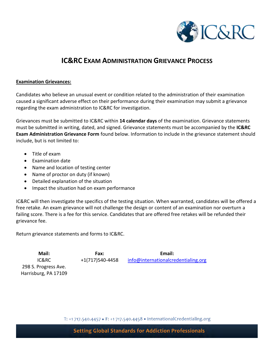

### **IC&RC EXAM ADMINISTRATION GRIEVANCE PROCESS**

#### **Examination Grievances:**

Candidates who believe an unusual event or condition related to the administration of their examination caused a significant adverse effect on their performance during their examination may submit a grievance regarding the exam administration to IC&RC for investigation.

Grievances must be submitted to IC&RC within **14 calendar days** of the examination. Grievance statements must be submitted in writing, dated, and signed. Grievance statements must be accompanied by the **IC&RC Exam Administration Grievance Form** found below. Information to include in the grievance statement should include, but is not limited to:

- Title of exam
- Examination date
- Name and location of testing center
- Name of proctor on duty (if known)
- Detailed explanation of the situation
- Impact the situation had on exam performance

IC&RC will then investigate the specifics of the testing situation. When warranted, candidates will be offered a free retake. An exam grievance will not challenge the design or content of an examination nor overturn a failing score. There is a fee for this service. Candidates that are offered free retakes will be refunded their grievance fee.

Return grievance statements and forms to IC&RC.

298 S. Progress Ave. Harrisburg, PA 17109

**Mail: Fax: Email:** IC&RC +1(717)540-4458 info@internationalcredentialing.org

T: +1 717.540.4457 • F: +1 717.540.4458 • InternationalCredentialing.org

**Setting Global Standards for Addiction Professionals**